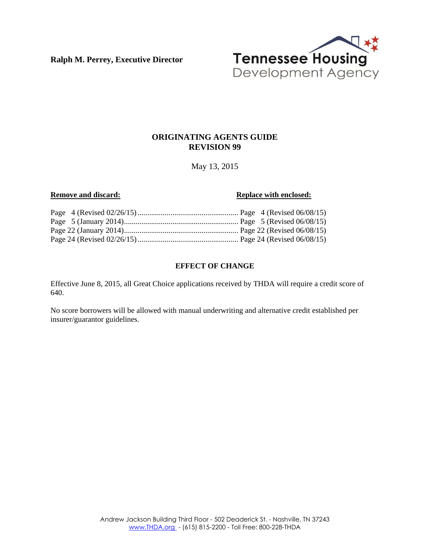**Ralph M. Perrey, Executive Director**



#### **ORIGINATING AGENTS GUIDE REVISION 99**

May 13, 2015

#### **Remove and discard: Replace with enclosed: Replace with enclosed:**

#### **EFFECT OF CHANGE**

Effective June 8, 2015, all Great Choice applications received by THDA will require a credit score of 640.

No score borrowers will be allowed with manual underwriting and alternative credit established per insurer/guarantor guidelines.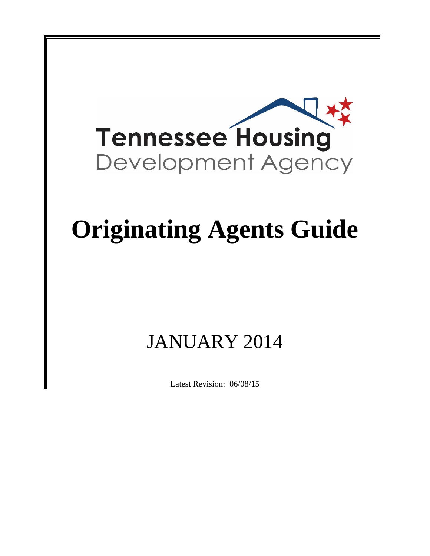

# **Originating Agents Guide**

## JANUARY 2014

Latest Revision: 06/08/15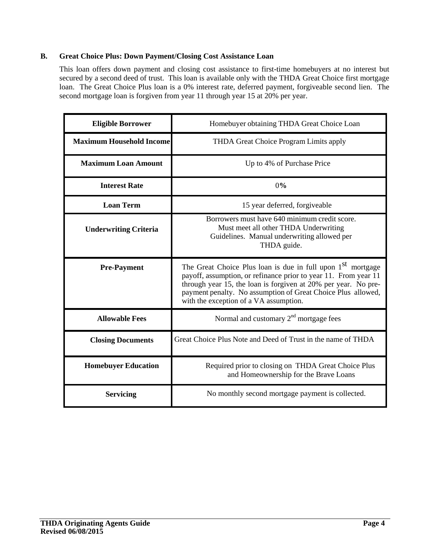#### **B. Great Choice Plus: Down Payment/Closing Cost Assistance Loan**

This loan offers down payment and closing cost assistance to first-time homebuyers at no interest but secured by a second deed of trust. This loan is available only with the THDA Great Choice first mortgage loan. The Great Choice Plus loan is a 0% interest rate, deferred payment, forgiveable second lien. The second mortgage loan is forgiven from year 11 through year 15 at 20% per year.

| <b>Eligible Borrower</b>        | Homebuyer obtaining THDA Great Choice Loan                                                                                                                                                                                                                                                                             |  |  |
|---------------------------------|------------------------------------------------------------------------------------------------------------------------------------------------------------------------------------------------------------------------------------------------------------------------------------------------------------------------|--|--|
| <b>Maximum Household Income</b> | THDA Great Choice Program Limits apply                                                                                                                                                                                                                                                                                 |  |  |
| <b>Maximum Loan Amount</b>      | Up to 4% of Purchase Price                                                                                                                                                                                                                                                                                             |  |  |
| <b>Interest Rate</b>            | 0%                                                                                                                                                                                                                                                                                                                     |  |  |
| <b>Loan Term</b>                | 15 year deferred, forgiveable                                                                                                                                                                                                                                                                                          |  |  |
| <b>Underwriting Criteria</b>    | Borrowers must have 640 minimum credit score.<br>Must meet all other THDA Underwriting<br>Guidelines. Manual underwriting allowed per<br>THDA guide.                                                                                                                                                                   |  |  |
| <b>Pre-Payment</b>              | The Great Choice Plus loan is due in full upon 1 <sup>st</sup> mortgage<br>payoff, assumption, or refinance prior to year 11. From year 11<br>through year 15, the loan is forgiven at 20% per year. No pre-<br>payment penalty. No assumption of Great Choice Plus allowed,<br>with the exception of a VA assumption. |  |  |
| <b>Allowable Fees</b>           | Normal and customary 2 <sup>nd</sup> mortgage fees                                                                                                                                                                                                                                                                     |  |  |
| <b>Closing Documents</b>        | Great Choice Plus Note and Deed of Trust in the name of THDA                                                                                                                                                                                                                                                           |  |  |
| <b>Homebuyer Education</b>      | Required prior to closing on THDA Great Choice Plus<br>and Homeownership for the Brave Loans                                                                                                                                                                                                                           |  |  |
| <b>Servicing</b>                | No monthly second mortgage payment is collected.                                                                                                                                                                                                                                                                       |  |  |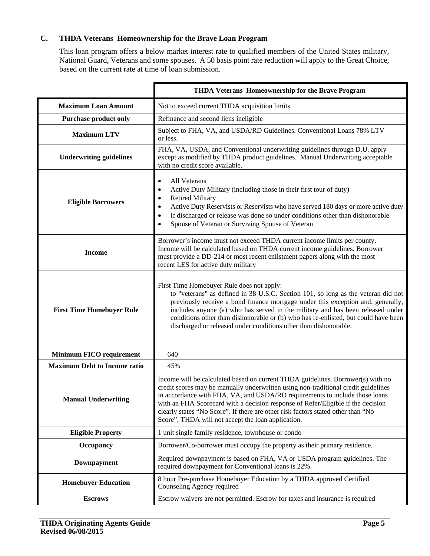### **C. THDA Veterans Homeownership for the Brave Loan Program**

This loan program offers a below market interest rate to qualified members of the United States military, National Guard, Veterans and some spouses. A 50 basis point rate reduction will apply to the Great Choice, based on the current rate at time of loan submission.

|                                     | THDA Veterans Homeownership for the Brave Program                                                                                                                                                                                                                                                                                                                                                                                                                                  |
|-------------------------------------|------------------------------------------------------------------------------------------------------------------------------------------------------------------------------------------------------------------------------------------------------------------------------------------------------------------------------------------------------------------------------------------------------------------------------------------------------------------------------------|
| <b>Maximum Loan Amount</b>          | Not to exceed current THDA acquisition limits                                                                                                                                                                                                                                                                                                                                                                                                                                      |
| <b>Purchase product only</b>        | Refinance and second liens ineligible                                                                                                                                                                                                                                                                                                                                                                                                                                              |
| <b>Maximum LTV</b>                  | Subject to FHA, VA, and USDA/RD Guidelines. Conventional Loans 78% LTV<br>or less.                                                                                                                                                                                                                                                                                                                                                                                                 |
| <b>Underwriting guidelines</b>      | FHA, VA, USDA, and Conventional underwriting guidelines through D.U. apply<br>except as modified by THDA product guidelines. Manual Underwriting acceptable<br>with no credit score available.                                                                                                                                                                                                                                                                                     |
| <b>Eligible Borrowers</b>           | All Veterans<br>$\bullet$<br>Active Duty Military (including those in their first tour of duty)<br><b>Retired Military</b><br>Active Duty Reservists or Reservists who have served 180 days or more active duty<br>If discharged or release was done so under conditions other than dishonorable<br>Spouse of Veteran or Surviving Spouse of Veteran                                                                                                                               |
| <b>Income</b>                       | Borrower's income must not exceed THDA current income limits per county.<br>Income will be calculated based on THDA current income guidelines. Borrower<br>must provide a DD-214 or most recent enlistment papers along with the most<br>recent LES for active duty military                                                                                                                                                                                                       |
| <b>First Time Homebuyer Rule</b>    | First Time Homebuyer Rule does not apply:<br>to "veterans" as defined in 38 U.S.C. Section 101, so long as the veteran did not<br>previously receive a bond finance mortgage under this exception and, generally,<br>includes anyone (a) who has served in the military and has been released under<br>conditions other than dishonorable or (b) who has re-enlisted, but could have been<br>discharged or released under conditions other than dishonorable.                      |
| <b>Minimum FICO requirement</b>     | 640                                                                                                                                                                                                                                                                                                                                                                                                                                                                                |
| <b>Maximum Debt to Income ratio</b> | 45%                                                                                                                                                                                                                                                                                                                                                                                                                                                                                |
| <b>Manual Underwriting</b>          | Income will be calculated based on current THDA guidelines. Borrower(s) with no<br>credit scores may be manually underwritten using non-traditional credit guidelines<br>in accordance with FHA, VA, and USDA/RD requirements to include those loans<br>with an FHA Scorecard with a decision response of Refer/Eligible if the decision<br>clearly states "No Score". If there are other risk factors stated other than "No<br>Score", THDA will not accept the loan application. |
| <b>Eligible Property</b>            | 1 unit single family residence, townhouse or condo                                                                                                                                                                                                                                                                                                                                                                                                                                 |
| Occupancy                           | Borrower/Co-borrower must occupy the property as their primary residence.                                                                                                                                                                                                                                                                                                                                                                                                          |
| Downpayment                         | Required downpayment is based on FHA, VA or USDA program guidelines. The<br>required downpayment for Conventional loans is 22%.                                                                                                                                                                                                                                                                                                                                                    |
| <b>Homebuyer Education</b>          | 8 hour Pre-purchase Homebuyer Education by a THDA approved Certified<br>Counseling Agency required                                                                                                                                                                                                                                                                                                                                                                                 |
| <b>Escrows</b>                      | Escrow waivers are not permitted. Escrow for taxes and insurance is required                                                                                                                                                                                                                                                                                                                                                                                                       |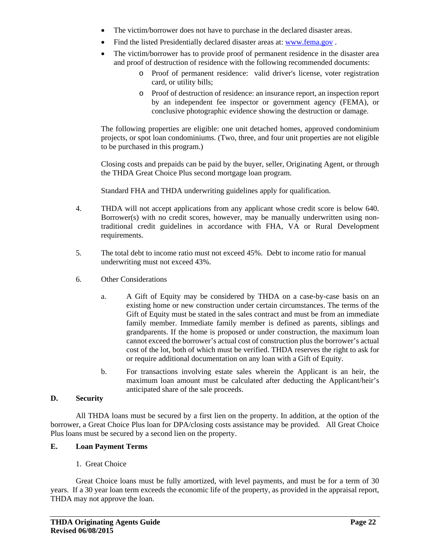- The victim/borrower does not have to purchase in the declared disaster areas.
- Find the listed Presidentially declared disaster areas at: www.fema.gov .
- The victim/borrower has to provide proof of permanent residence in the disaster area and proof of destruction of residence with the following recommended documents:
	- o Proof of permanent residence: valid driver's license, voter registration card, or utility bills;
	- o Proof of destruction of residence: an insurance report, an inspection report by an independent fee inspector or government agency (FEMA), or conclusive photographic evidence showing the destruction or damage.

The following properties are eligible: one unit detached homes, approved condominium projects, or spot loan condominiums. (Two, three, and four unit properties are not eligible to be purchased in this program.)

Closing costs and prepaids can be paid by the buyer, seller, Originating Agent, or through the THDA Great Choice Plus second mortgage loan program.

Standard FHA and THDA underwriting guidelines apply for qualification.

- 4. THDA will not accept applications from any applicant whose credit score is below 640. Borrower(s) with no credit scores, however, may be manually underwritten using nontraditional credit guidelines in accordance with FHA, VA or Rural Development requirements.
- 5. The total debt to income ratio must not exceed 45%. Debt to income ratio for manual underwriting must not exceed 43%.
- 6. Other Considerations
	- a. A Gift of Equity may be considered by THDA on a case-by-case basis on an existing home or new construction under certain circumstances. The terms of the Gift of Equity must be stated in the sales contract and must be from an immediate family member. Immediate family member is defined as parents, siblings and grandparents. If the home is proposed or under construction, the maximum loan cannot exceed the borrower's actual cost of construction plus the borrower's actual cost of the lot, both of which must be verified. THDA reserves the right to ask for or require additional documentation on any loan with a Gift of Equity.
	- b. For transactions involving estate sales wherein the Applicant is an heir, the maximum loan amount must be calculated after deducting the Applicant/heir's anticipated share of the sale proceeds.

#### **D. Security**

All THDA loans must be secured by a first lien on the property. In addition, at the option of the borrower, a Great Choice Plus loan for DPA/closing costs assistance may be provided. All Great Choice Plus loans must be secured by a second lien on the property.

#### **E. Loan Payment Terms**

#### 1. Great Choice

Great Choice loans must be fully amortized, with level payments, and must be for a term of 30 years. If a 30 year loan term exceeds the economic life of the property, as provided in the appraisal report, THDA may not approve the loan.